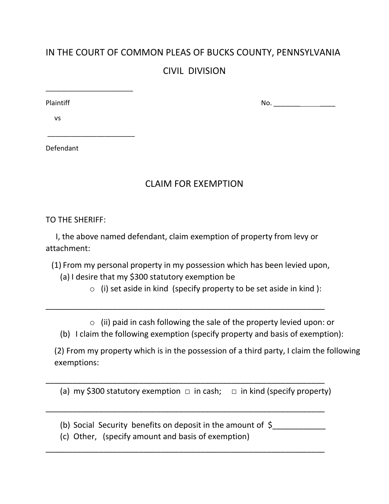## IN THE COURT OF COMMON PLEAS OF BUCKS COUNTY, PENNSYLVANIA

## CIVIL DIVISION

\_\_\_\_\_\_\_\_\_\_\_\_\_\_\_\_\_\_\_\_\_\_\_

\_\_\_\_\_\_\_\_\_\_\_\_\_\_\_\_\_\_\_\_\_\_\_

Plaintiff No. \_\_\_\_\_\_\_ \_\_\_\_

vs

Defendant

## CLAIM FOR EXEMPTION

TO THE SHERIFF:

 I, the above named defendant, claim exemption of property from levy or attachment:

(1) From my personal property in my possession which has been levied upon,

\_\_\_\_\_\_\_\_\_\_\_\_\_\_\_\_\_\_\_\_\_\_\_\_\_\_\_\_\_\_\_\_\_\_\_\_\_\_\_\_\_\_\_\_\_\_\_\_\_\_\_\_\_\_\_\_\_\_\_\_\_\_\_

- (a) I desire that my \$300 statutory exemption be
	- $\circ$  (i) set aside in kind (specify property to be set aside in kind):

o (ii) paid in cash following the sale of the property levied upon: or

(b) I claim the following exemption (specify property and basis of exemption):

(2) From my property which is in the possession of a third party, I claim the following exemptions:

(a) my \$300 statutory exemption  $\Box$  in cash;  $\Box$  in kind (specify property)

\_\_\_\_\_\_\_\_\_\_\_\_\_\_\_\_\_\_\_\_\_\_\_\_\_\_\_\_\_\_\_\_\_\_\_\_\_\_\_\_\_\_\_\_\_\_\_\_\_\_\_\_\_\_\_\_\_\_\_\_\_\_\_

\_\_\_\_\_\_\_\_\_\_\_\_\_\_\_\_\_\_\_\_\_\_\_\_\_\_\_\_\_\_\_\_\_\_\_\_\_\_\_\_\_\_\_\_\_\_\_\_\_\_\_\_\_\_\_\_\_\_\_\_\_\_\_

\_\_\_\_\_\_\_\_\_\_\_\_\_\_\_\_\_\_\_\_\_\_\_\_\_\_\_\_\_\_\_\_\_\_\_\_\_\_\_\_\_\_\_\_\_\_\_\_\_\_\_\_\_\_\_\_\_\_\_\_\_\_\_

- (b) Social Security benefits on deposit in the amount of  $\zeta$
- (c) Other, (specify amount and basis of exemption)